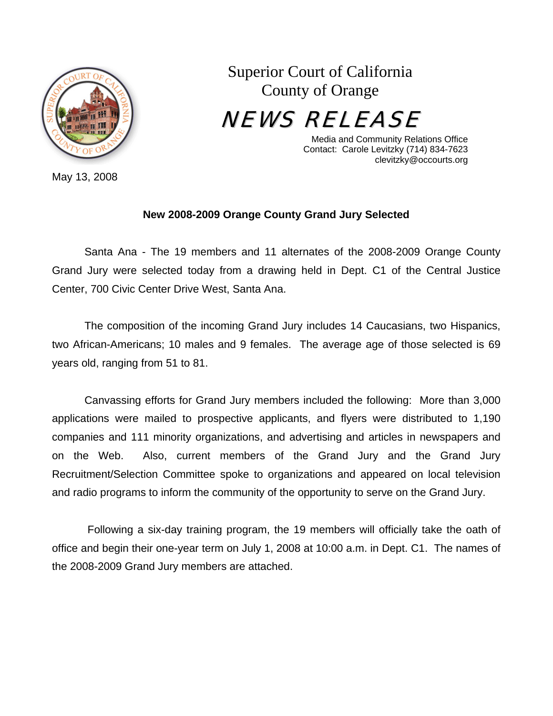

May 13, 2008

Superior Court of California County of Orange

NEWS RELEASE

Media and Community Relations Office Contact: Carole Levitzky (714) 834-7623 clevitzky@occourts.org

## **New 2008-2009 Orange County Grand Jury Selected**

 Santa Ana - The 19 members and 11 alternates of the 2008-2009 Orange County Grand Jury were selected today from a drawing held in Dept. C1 of the Central Justice Center, 700 Civic Center Drive West, Santa Ana.

 The composition of the incoming Grand Jury includes 14 Caucasians, two Hispanics, two African-Americans; 10 males and 9 females. The average age of those selected is 69 years old, ranging from 51 to 81.

 Canvassing efforts for Grand Jury members included the following: More than 3,000 applications were mailed to prospective applicants, and flyers were distributed to 1,190 companies and 111 minority organizations, and advertising and articles in newspapers and on the Web. Also, current members of the Grand Jury and the Grand Jury Recruitment/Selection Committee spoke to organizations and appeared on local television and radio programs to inform the community of the opportunity to serve on the Grand Jury.

 Following a six-day training program, the 19 members will officially take the oath of office and begin their one-year term on July 1, 2008 at 10:00 a.m. in Dept. C1. The names of the 2008-2009 Grand Jury members are attached.